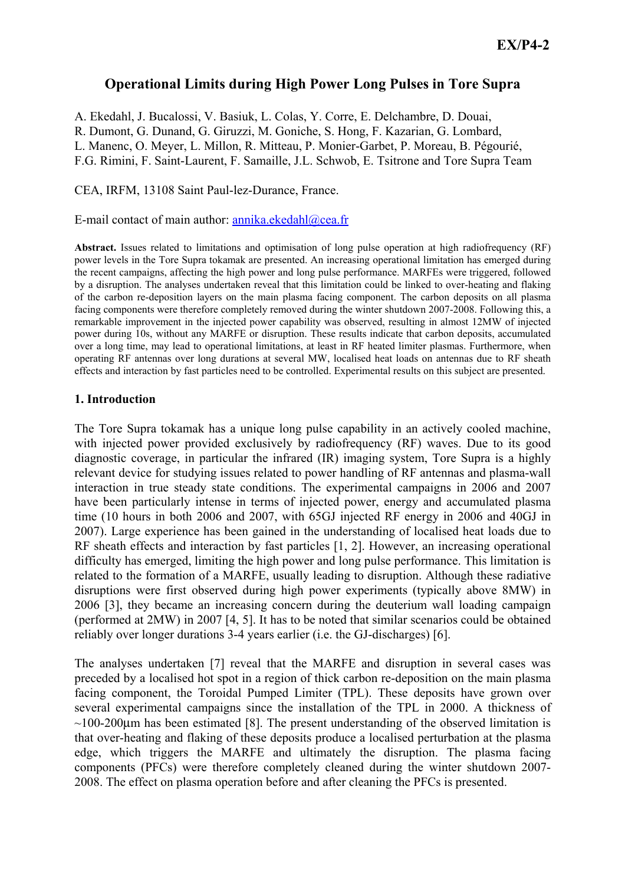# **Operational Limits during High Power Long Pulses in Tore Supra**

A. Ekedahl, J. Bucalossi, V. Basiuk, L. Colas, Y. Corre, E. Delchambre, D. Douai, R. Dumont, G. Dunand, G. Giruzzi, M. Goniche, S. Hong, F. Kazarian, G. Lombard, L. Manenc, O. Meyer, L. Millon, R. Mitteau, P. Monier-Garbet, P. Moreau, B. Pégourié, F.G. Rimini, F. Saint-Laurent, F. Samaille, J.L. Schwob, E. Tsitrone and Tore Supra Team

CEA, IRFM, 13108 Saint Paul-lez-Durance, France.

E-mail contact of main author: annika.ekedahl@cea.fr

**Abstract.** Issues related to limitations and optimisation of long pulse operation at high radiofrequency (RF) power levels in the Tore Supra tokamak are presented. An increasing operational limitation has emerged during the recent campaigns, affecting the high power and long pulse performance. MARFEs were triggered, followed by a disruption. The analyses undertaken reveal that this limitation could be linked to over-heating and flaking of the carbon re-deposition layers on the main plasma facing component. The carbon deposits on all plasma facing components were therefore completely removed during the winter shutdown 2007-2008. Following this, a remarkable improvement in the injected power capability was observed, resulting in almost 12MW of injected power during 10s, without any MARFE or disruption. These results indicate that carbon deposits, accumulated over a long time, may lead to operational limitations, at least in RF heated limiter plasmas. Furthermore, when operating RF antennas over long durations at several MW, localised heat loads on antennas due to RF sheath effects and interaction by fast particles need to be controlled. Experimental results on this subject are presented.

## 1. Introduction

The Tore Supra tokamak has a unique long pulse capability in an actively cooled machine, with injected power provided exclusively by radiofrequency (RF) waves. Due to its good diagnostic coverage, in particular the infrared (IR) imaging system. Tore Supra is a highly relevant device for studying issues related to power handling of RF antennas and plasma-wall interaction in true steady state conditions. The experimental campaigns in 2006 and 2007 have been particularly intense in terms of injected power, energy and accumulated plasma time (10 hours in both 2006 and 2007, with 65GJ injected RF energy in 2006 and 40GJ in 2007). Large experience has been gained in the understanding of localised heat loads due to RF sheath effects and interaction by fast particles [1, 2]. However, an increasing operational difficulty has emerged, limiting the high power and long pulse performance. This limitation is related to the formation of a MARFE, usually leading to disruption. Although these radiative disruptions were first observed during high power experiments (typically above 8MW) in 2006 [3], they became an increasing concern during the deuterium wall loading campaign (performed at 2MW) in 2007 [4, 5]. It has to be noted that similar scenarios could be obtained reliably over longer durations 3-4 years earlier (*i.e.* the GJ-discharges) [6].

The analyses undertaken [7] reveal that the MARFE and disruption in several cases was preceded by a localised hot spot in a region of thick carbon re-deposition on the main plasma facing component, the Toroidal Pumped Limiter (TPL). These deposits have grown over several experimental campaigns since the installation of the TPL in 2000. A thickness of  $\sim$ 100-200 $\mu$ m has been estimated [8]. The present understanding of the observed limitation is that over-heating and flaking of these deposits produce a localised perturbation at the plasma edge, which triggers the MARFE and ultimately the disruption. The plasma facing components (PFCs) were therefore completely cleaned during the winter shutdown 2007-2008. The effect on plasma operation before and after cleaning the PFCs is presented.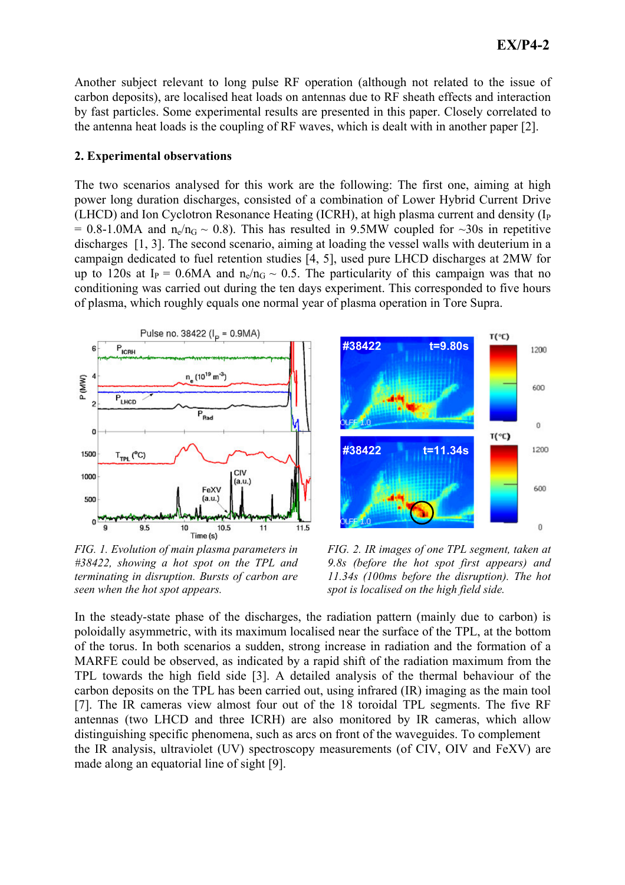Another subject relevant to long pulse RF operation (although not related to the issue of carbon deposits), are localised heat loads on antennas due to RF sheath effects and interaction by fast particles. Some experimental results are presented in this paper. Closely correlated to the antenna heat loads is the coupling of RF waves, which is dealt with in another paper [2].

## 2. Experimental observations

The two scenarios analysed for this work are the following: The first one, aiming at high power long duration discharges, consisted of a combination of Lower Hybrid Current Drive (LHCD) and Ion Cyclotron Resonance Heating (ICRH), at high plasma current and density (I<sub>P</sub> = 0.8-1.0MA and  $n_e/n_G \sim 0.8$ ). This has resulted in 9.5MW coupled for  $\sim 30$ s in repetitive discharges [1, 3]. The second scenario, aiming at loading the vessel walls with deuterium in a campaign dedicated to fuel retention studies [4, 5], used pure LHCD discharges at 2MW for up to 120s at I<sub>p</sub> = 0.6MA and n<sub>o</sub>/n<sub>G</sub> ~ 0.5. The particularity of this campaign was that no conditioning was carried out during the ten days experiment. This corresponded to five hours of plasma, which roughly equals one normal year of plasma operation in Tore Supra.



FIG. 1. Evolution of main plasma parameters in  $\#38422$ , showing a hot spot on the TPL and terminating in disruption. Bursts of carbon are seen when the hot spot appears.



FIG. 2. IR images of one TPL segment, taken at 9.8s (before the hot spot first appears) and 11.34s (100ms before the disruption). The hot spot is localised on the high field side.

In the steady-state phase of the discharges, the radiation pattern (mainly due to carbon) is poloidally asymmetric, with its maximum localised near the surface of the TPL, at the bottom of the torus. In both scenarios a sudden, strong increase in radiation and the formation of a MARFE could be observed, as indicated by a rapid shift of the radiation maximum from the TPL towards the high field side [3]. A detailed analysis of the thermal behaviour of the carbon deposits on the TPL has been carried out, using infrared (IR) imaging as the main tool [7]. The IR cameras view almost four out of the 18 toroidal TPL segments. The five RF antennas (two LHCD and three ICRH) are also monitored by IR cameras, which allow distinguishing specific phenomena, such as arcs on front of the waveguides. To complement the IR analysis, ultraviolet (UV) spectroscopy measurements (of CIV, OIV and FeXV) are made along an equatorial line of sight [9].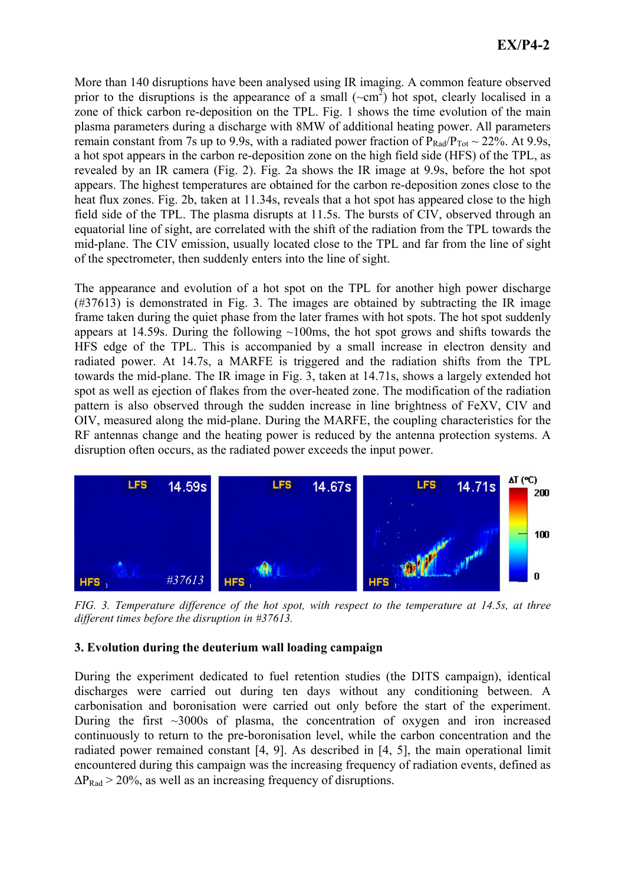More than 140 disruptions have been analysed using IR imaging. A common feature observed prior to the disruptions is the appearance of a small  $({\sim cm}^2)$  hot spot, clearly localised in a zone of thick carbon re-deposition on the TPL. Fig. 1 shows the time evolution of the main plasma parameters during a discharge with 8MW of additional heating power. All parameters remain constant from 7s up to 9.9s, with a radiated power fraction of  $P_{Rad}/P_{Tot} \sim 22\%$ . At 9.9s, a hot spot appears in the carbon re-deposition zone on the high field side (HFS) of the TPL, as revealed by an IR camera (Fig. 2). Fig. 2a shows the IR image at 9.9s, before the hot spot appears. The highest temperatures are obtained for the carbon re-deposition zones close to the heat flux zones. Fig. 2b, taken at 11.34s, reveals that a hot spot has appeared close to the high field side of the TPL. The plasma disrupts at 11.5s. The bursts of CIV, observed through an equatorial line of sight, are correlated with the shift of the radiation from the TPL towards the mid-plane. The CIV emission, usually located close to the TPL and far from the line of sight of the spectrometer, then suddenly enters into the line of sight.

The appearance and evolution of a hot spot on the TPL for another high power discharge  $(\#37613)$  is demonstrated in Fig. 3. The images are obtained by subtracting the IR image frame taken during the quiet phase from the later frames with hot spots. The hot spot suddenly appears at 14.59s. During the following  $\sim 100$ ms, the hot spot grows and shifts towards the HFS edge of the TPL. This is accompanied by a small increase in electron density and radiated power. At 14.7s, a MARFE is triggered and the radiation shifts from the TPL towards the mid-plane. The IR image in Fig. 3, taken at 14.71s, shows a largely extended hot spot as well as ejection of flakes from the over-heated zone. The modification of the radiation pattern is also observed through the sudden increase in line brightness of FeXV, CIV and OIV, measured along the mid-plane. During the MARFE, the coupling characteristics for the RF antennas change and the heating power is reduced by the antenna protection systems. A disruption often occurs, as the radiated power exceeds the input power.



FIG. 3. Temperature difference of the hot spot, with respect to the temperature at 14.5s, at three different times before the disruption in  $#37613$ .

# 3. Evolution during the deuterium wall loading campaign

During the experiment dedicated to fuel retention studies (the DITS campaign), identical discharges were carried out during ten days without any conditioning between. A carbonisation and boronisation were carried out only before the start of the experiment. During the first  $\sim$ 3000s of plasma, the concentration of oxygen and iron increased continuously to return to the pre-boronisation level, while the carbon concentration and the radiated power remained constant [4, 9]. As described in [4, 5], the main operational limit encountered during this campaign was the increasing frequency of radiation events, defined as  $\Delta P_{\text{Rad}}$  > 20%, as well as an increasing frequency of disruptions.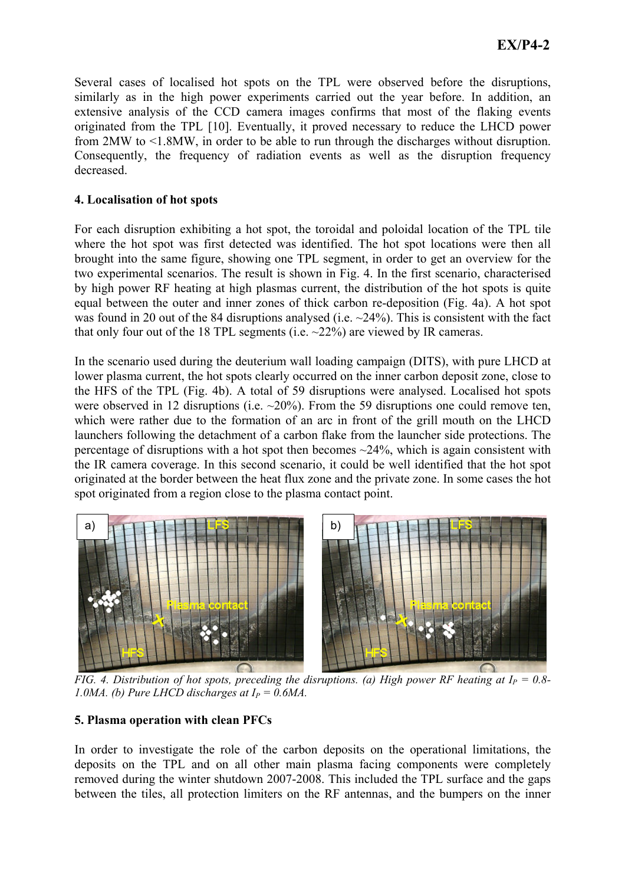Several cases of localised hot spots on the TPL were observed before the disruptions, similarly as in the high power experiments carried out the year before. In addition, an extensive analysis of the CCD camera images confirms that most of the flaking events originated from the TPL [10]. Eventually, it proved necessary to reduce the LHCD power from  $2MW$  to  $\leq 1.8MW$ , in order to be able to run through the discharges without disruption. Consequently, the frequency of radiation events as well as the disruption frequency decreased.

## 4. Localisation of hot spots

For each disruption exhibiting a hot spot, the toroidal and poloidal location of the TPL tile where the hot spot was first detected was identified. The hot spot locations were then all brought into the same figure, showing one TPL segment, in order to get an overview for the two experimental scenarios. The result is shown in Fig. 4. In the first scenario, characterised by high power RF heating at high plasmas current, the distribution of the hot spots is quite equal between the outer and inner zones of thick carbon re-deposition (Fig. 4a). A hot spot was found in 20 out of the 84 disruptions analysed (i.e.  $\sim$ 24%). This is consistent with the fact that only four out of the 18 TPL segments (i.e.  $\sim$ 22%) are viewed by IR cameras.

In the scenario used during the deuterium wall loading campaign (DITS), with pure LHCD at lower plasma current, the hot spots clearly occurred on the inner carbon deposit zone, close to the HFS of the TPL (Fig. 4b). A total of 59 disruptions were analysed. Localised hot spots were observed in 12 disruptions (i.e.  $\sim$ 20%). From the 59 disruptions one could remove ten, which were rather due to the formation of an arc in front of the grill mouth on the LHCD launchers following the detachment of a carbon flake from the launcher side protections. The percentage of disruptions with a hot spot then becomes  $\sim$ 24%, which is again consistent with the IR camera coverage. In this second scenario, it could be well identified that the hot spot originated at the border between the heat flux zone and the private zone. In some cases the hot spot originated from a region close to the plasma contact point.



FIG. 4. Distribution of hot spots, preceding the disruptions. (a) High power RF heating at  $I_p = 0.8$ -1.0MA. (b) Pure LHCD discharges at  $I_P = 0.6MA$ .

## 5. Plasma operation with clean PFCs

In order to investigate the role of the carbon deposits on the operational limitations, the deposits on the TPL and on all other main plasma facing components were completely removed during the winter shutdown 2007-2008. This included the TPL surface and the gaps between the tiles, all protection limiters on the RF antennas, and the bumpers on the inner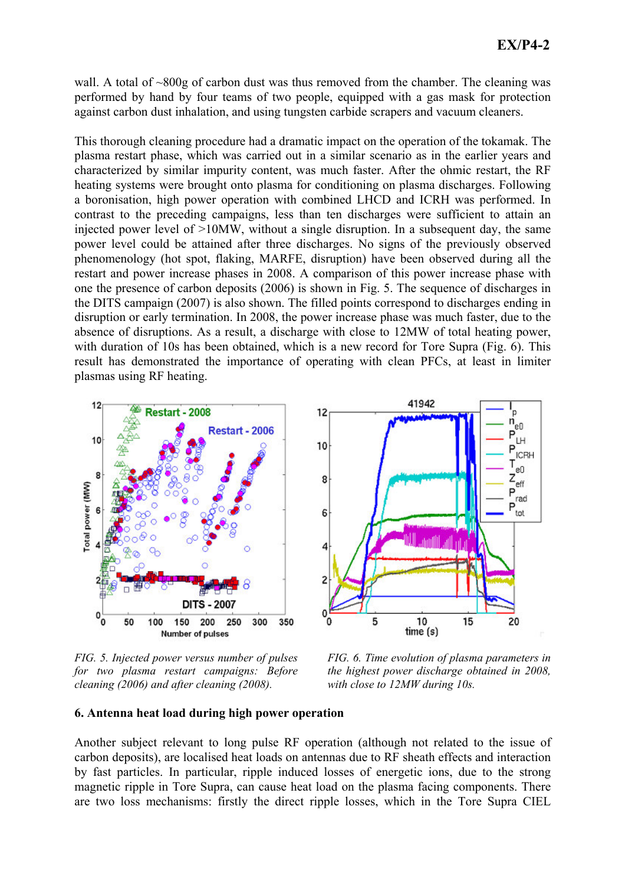wall. A total of  $\sim 800g$  of carbon dust was thus removed from the chamber. The cleaning was performed by hand by four teams of two people, equipped with a gas mask for protection against carbon dust inhalation, and using tungsten carbide scrapers and vacuum cleaners.

This thorough cleaning procedure had a dramatic impact on the operation of the tokamak. The plasma restart phase, which was carried out in a similar scenario as in the earlier years and characterized by similar impurity content, was much faster. After the ohmic restart, the RF heating systems were brought onto plasma for conditioning on plasma discharges. Following a boronisation, high power operation with combined LHCD and ICRH was performed. In contrast to the preceding campaigns, less than ten discharges were sufficient to attain an injected power level of  $>10MW$ , without a single disruption. In a subsequent day, the same power level could be attained after three discharges. No signs of the previously observed phenomenology (hot spot, flaking, MARFE, disruption) have been observed during all the restart and power increase phases in 2008. A comparison of this power increase phase with one the presence of carbon deposits (2006) is shown in Fig. 5. The sequence of discharges in the DITS campaign (2007) is also shown. The filled points correspond to discharges ending in disruption or early termination. In 2008, the power increase phase was much faster, due to the absence of disruptions. As a result, a discharge with close to 12MW of total heating power, with duration of 10s has been obtained, which is a new record for Tore Supra (Fig. 6). This result has demonstrated the importance of operating with clean PFCs, at least in limiter plasmas using RF heating.





FIG. 5. Injected power versus number of pulses for two plasma restart campaigns: Before cleaning (2006) and after cleaning (2008).

FIG. 6. Time evolution of plasma parameters in the highest power discharge obtained in 2008, with close to 12MW during 10s.

#### 6. Antenna heat load during high power operation

Another subject relevant to long pulse RF operation (although not related to the issue of carbon deposits), are localised heat loads on antennas due to RF sheath effects and interaction by fast particles. In particular, ripple induced losses of energetic ions, due to the strong magnetic ripple in Tore Supra, can cause heat load on the plasma facing components. There are two loss mechanisms: firstly the direct ripple losses, which in the Tore Supra CIEL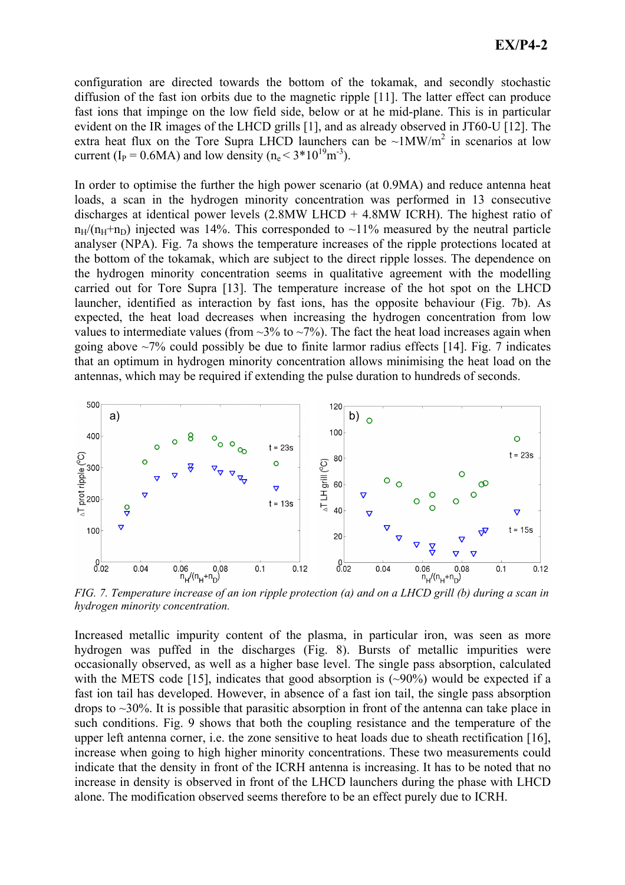configuration are directed towards the bottom of the tokamak, and secondly stochastic diffusion of the fast ion orbits due to the magnetic ripple [11]. The latter effect can produce fast ions that impinge on the low field side, below or at he mid-plane. This is in particular evident on the IR images of the LHCD grills [1], and as already observed in JT60-U [12]. The extra heat flux on the Tore Supra LHCD launchers can be  $\sim 1$ MW/m<sup>2</sup> in scenarios at low current (I<sub>P</sub> = 0.6MA) and low density ( $n_e < 3*10^{19}$  m<sup>-3</sup>).

In order to optimise the further the high power scenario (at 0.9MA) and reduce antenna heat loads, a scan in the hydrogen minority concentration was performed in 13 consecutive discharges at identical power levels  $(2.8MW$  LHCD + 4.8MW ICRH). The highest ratio of  $n_H/(n_H+n_D)$  injected was 14%. This corresponded to ~11% measured by the neutral particle analyser (NPA). Fig. 7a shows the temperature increases of the ripple protections located at the bottom of the tokamak, which are subject to the direct ripple losses. The dependence on the hydrogen minority concentration seems in qualitative agreement with the modelling carried out for Tore Supra [13]. The temperature increase of the hot spot on the LHCD launcher, identified as interaction by fast ions, has the opposite behaviour (Fig. 7b). As expected, the heat load decreases when increasing the hydrogen concentration from low values to intermediate values (from  $\sim$ 3% to  $\sim$ 7%). The fact the heat load increases again when going above  $\sim$ 7% could possibly be due to finite larmor radius effects [14]. Fig. 7 indicates that an optimum in hydrogen minority concentration allows minimising the heat load on the antennas, which may be required if extending the pulse duration to hundreds of seconds.



FIG. 7. Temperature increase of an ion ripple protection (a) and on a LHCD grill (b) during a scan in hydrogen minority concentration.

Increased metallic impurity content of the plasma, in particular iron, was seen as more hydrogen was puffed in the discharges (Fig. 8). Bursts of metallic impurities were occasionally observed, as well as a higher base level. The single pass absorption, calculated with the METS code [15], indicates that good absorption is  $(\sim 90\%)$  would be expected if a fast ion tail has developed. However, in absence of a fast ion tail, the single pass absorption drops to  $\sim$ 30%. It is possible that parasitic absorption in front of the antenna can take place in such conditions. Fig. 9 shows that both the coupling resistance and the temperature of the upper left antenna corner, i.e. the zone sensitive to heat loads due to sheath rectification [16], increase when going to high higher minority concentrations. These two measurements could indicate that the density in front of the ICRH antenna is increasing. It has to be noted that no increase in density is observed in front of the LHCD launchers during the phase with LHCD alone. The modification observed seems therefore to be an effect purely due to ICRH.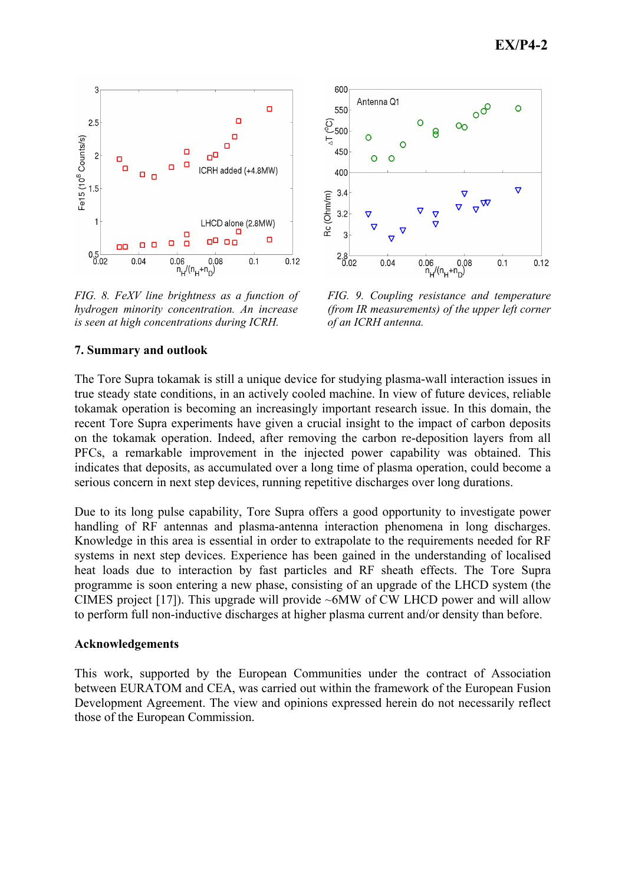

FIG. 8. FeXV line brightness as a function of hydrogen minority concentration. An increase is seen at high concentrations during ICRH.



FIG. 9. Coupling resistance and temperature (from IR measurements) of the upper left corner of an ICRH antenna.

## 7. Summary and outlook

The Tore Supra tokamak is still a unique device for studying plasma-wall interaction issues in true steady state conditions, in an actively cooled machine. In view of future devices, reliable tokamak operation is becoming an increasingly important research issue. In this domain, the recent Tore Supra experiments have given a crucial insight to the impact of carbon deposits on the tokamak operation. Indeed, after removing the carbon re-deposition layers from all PFCs, a remarkable improvement in the injected power capability was obtained. This indicates that deposits, as accumulated over a long time of plasma operation, could become a serious concern in next step devices, running repetitive discharges over long durations.

Due to its long pulse capability. Tore Supra offers a good opportunity to investigate power handling of RF antennas and plasma-antenna interaction phenomena in long discharges. Knowledge in this area is essential in order to extrapolate to the requirements needed for RF systems in next step devices. Experience has been gained in the understanding of localised heat loads due to interaction by fast particles and RF sheath effects. The Tore Supra programme is soon entering a new phase, consisting of an upgrade of the LHCD system (the CIMES project [17]). This upgrade will provide  $\sim 6MW$  of CW LHCD power and will allow to perform full non-inductive discharges at higher plasma current and/or density than before.

## **Acknowledgements**

This work, supported by the European Communities under the contract of Association between EURATOM and CEA, was carried out within the framework of the European Fusion Development Agreement. The view and opinions expressed herein do not necessarily reflect those of the European Commission.